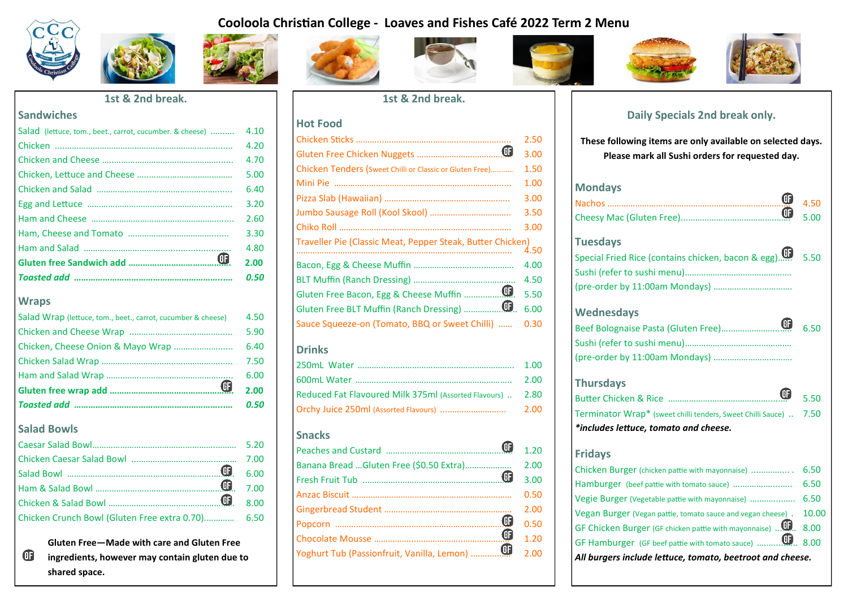#### **Cooloola Christian College - Loaves and Fishes Café 2022 Term 2 Menu**









#### **Sandwiches**

| Salad (lettuce, tom., beet., carrot, cucumber. & cheese) | 4.10 |
|----------------------------------------------------------|------|
|                                                          | 4.20 |
|                                                          | 4.70 |
|                                                          | 5.00 |
|                                                          | 6.40 |
|                                                          | 3.20 |
|                                                          | 2.60 |
|                                                          | 3.30 |
|                                                          | 4.80 |
| ⊕                                                        | 2.00 |
|                                                          | 0.50 |
|                                                          |      |

#### **Wraps**

|                                                              | 0.50 |
|--------------------------------------------------------------|------|
| $\oplus$                                                     | 2.00 |
|                                                              | 6.00 |
|                                                              | 7.50 |
|                                                              | 6.40 |
|                                                              | 5.90 |
| Salad Wrap (lettuce, tom., beet., carrot, cucumber & cheese) | 4.50 |

#### **Salad Bowls**

| Chicken Crunch Bowl (Gluten Free extra 0.70) 6.50 |  |
|---------------------------------------------------|--|

 **Gluten Free—Made with care and Gluten Free**  *<b>f* ingredients, however may contain gluten due to  **shared space.** 



**Hot Food** 





|                                                            | 3.00 |
|------------------------------------------------------------|------|
|                                                            | 3.50 |
|                                                            | 3.00 |
|                                                            |      |
|                                                            | 4.00 |
|                                                            | 4.50 |
| $\mathbf \oplus$<br>Gluten Free Bacon, Egg & Cheese Muffin | 5.50 |
| $\bm \oplus$<br>Gluten Free BLT Muffin (Ranch Dressing)    | 6.00 |
| Sauce Squeeze-on (Tomato, BBQ or Sweet Chilli)  0.30       |      |

#### **Drinks**

|                                                            | 2.00 |
|------------------------------------------------------------|------|
| Reduced Fat Flavoured Milk 375ml (Assorted Flavours)  2.80 |      |
|                                                            |      |

#### **Snacks**

|                                         | ⊕ | 1.20 |
|-----------------------------------------|---|------|
| Banana Bread Gluten Free (\$0.50 Extra) |   | 2.00 |
|                                         | ⊕ | 3.00 |
|                                         |   | 0.50 |
|                                         |   | 2.00 |
|                                         | ⊕ | 0.50 |
|                                         | ⊕ | 1.20 |
|                                         |   | 2.00 |
|                                         |   |      |





#### **Daily Specials 2nd break only.**

**These following items are only available on selected days. Please mark all Sushi orders for requested day.**

### **Mondays** Nachos ……………………………………………………………………. 4.50 Cheesy Mac (Gluten Free)...……………………………….……. 5.00 **Tuesdays** Special Fried Rice (contains chicken, bacon & egg)……... 5.50 Sushi (refer to sushi menu)………………………………………. (pre-order by 11:00am Mondays) ……………………………. **Wednesdays** Beef Bolognaise Pasta (Gluten Free)….………………...….. 6.50 Sushi (refer to sushi menu)………………………………………. (pre-order by 11:00am Mondays) ……………………………. **Thursdays**

| *includes lettuce, tomato and cheese.                             |  |
|-------------------------------------------------------------------|--|
| Terminator Wrap* (sweet chilli tenders, Sweet Chilli Sauce)  7.50 |  |
|                                                                   |  |

#### **Fridays**

| Chicken Burger (chicken pattie with mayonnaise)             | 6.50  |
|-------------------------------------------------------------|-------|
|                                                             | 6.50  |
|                                                             |       |
| Vegan Burger (Vegan pattie, tomato sauce and vegan cheese). | 10.00 |
|                                                             |       |
|                                                             |       |
| All burgers include lettuce, tomato, beetroot and cheese.   |       |